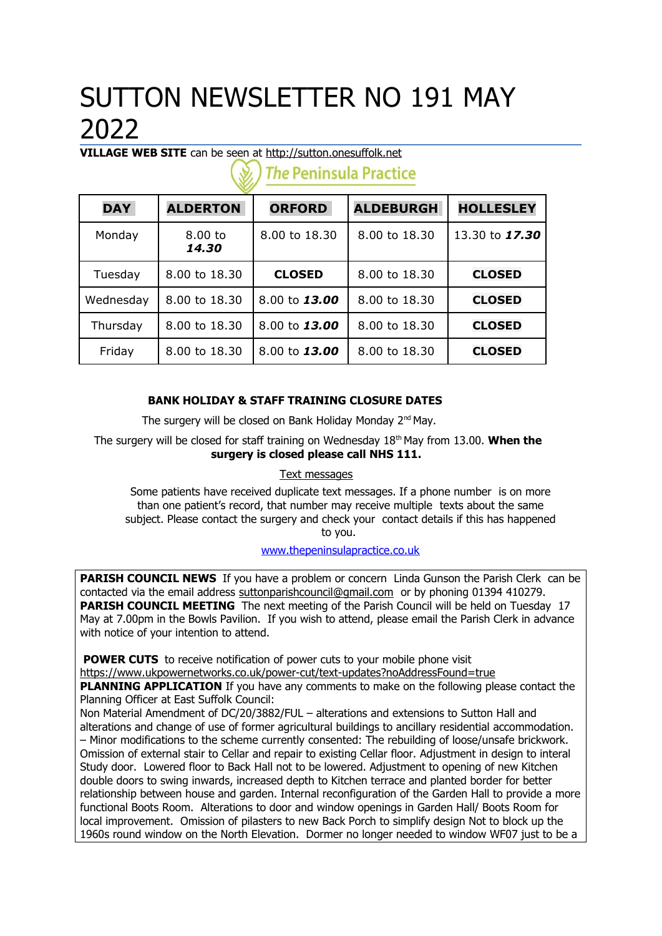# SUTTON NEWSLETTER NO 191 MAY 2022

**VILLAGE WEB SITE** can be seen at [http://sutton.onesuffolk.net](http://sutton.onesuffolk.net/)

| <b>DAY</b> | <b>ALDERTON</b>    | <b>ORFORD</b> | <b>ALDEBURGH</b> | <b>HOLLESLEY</b> |  |  |
|------------|--------------------|---------------|------------------|------------------|--|--|
| Monday     | $8.00$ to<br>14.30 | 8.00 to 18.30 | 8.00 to 18.30    | 13.30 to 17.30   |  |  |
| Tuesday    | 8.00 to 18.30      | <b>CLOSED</b> | 8.00 to 18.30    | <b>CLOSED</b>    |  |  |
| Wednesday  | 8.00 to 18.30      | 8.00 to 13.00 | 8.00 to 18.30    | <b>CLOSED</b>    |  |  |
| Thursday   | 8.00 to 18.30      | 8.00 to 13.00 | 8.00 to 18.30    | <b>CLOSED</b>    |  |  |
| Friday     | 8.00 to 18.30      | 8.00 to 13.00 | 8.00 to 18.30    | <b>CLOSED</b>    |  |  |

**The Peninsula Practice** 

# **BANK HOLIDAY & STAFF TRAINING CLOSURE DATES**

The surgery will be closed on Bank Holiday Monday  $2<sup>nd</sup>$  May.

The surgery will be closed for staff training on Wednesday 18<sup>th</sup> May from 13.00. When the **surgery is closed please call NHS 111.**

## Text messages

Some patients have received duplicate text messages. If a phone number is on more than one patient's record, that number may receive multiple texts about the same subject. Please contact the surgery and check your contact details if this has happened to you.

### www.thepeninsulapractice.co.uk

**PARISH COUNCIL NEWS** If you have a problem or concern Linda Gunson the Parish Clerk can be contacted via the email address [suttonparishcouncil@gmail.com](mailto:suttonparishcouncil@gmail.com) or by phoning 01394 410279. **PARISH COUNCIL MEETING** The next meeting of the Parish Council will be held on Tuesday 17 May at 7.00pm in the Bowls Pavilion. If you wish to attend, please email the Parish Clerk in advance with notice of your intention to attend.

**POWER CUTS** to receive notification of power cuts to your mobile phone visit <https://www.ukpowernetworks.co.uk/power-cut/text-updates?noAddressFound=true>

**PLANNING APPLICATION** If you have any comments to make on the following please contact the Planning Officer at East Suffolk Council:

Non Material Amendment of DC/20/3882/FUL – alterations and extensions to Sutton Hall and alterations and change of use of former agricultural buildings to ancillary residential accommodation. – Minor modifications to the scheme currently consented: The rebuilding of loose/unsafe brickwork. Omission of external stair to Cellar and repair to existing Cellar floor. Adjustment in design to interal Study door. Lowered floor to Back Hall not to be lowered. Adjustment to opening of new Kitchen double doors to swing inwards, increased depth to Kitchen terrace and planted border for better relationship between house and garden. Internal reconfiguration of the Garden Hall to provide a more functional Boots Room. Alterations to door and window openings in Garden Hall/ Boots Room for local improvement. Omission of pilasters to new Back Porch to simplify design Not to block up the 1960s round window on the North Elevation. Dormer no longer needed to window WF07 just to be a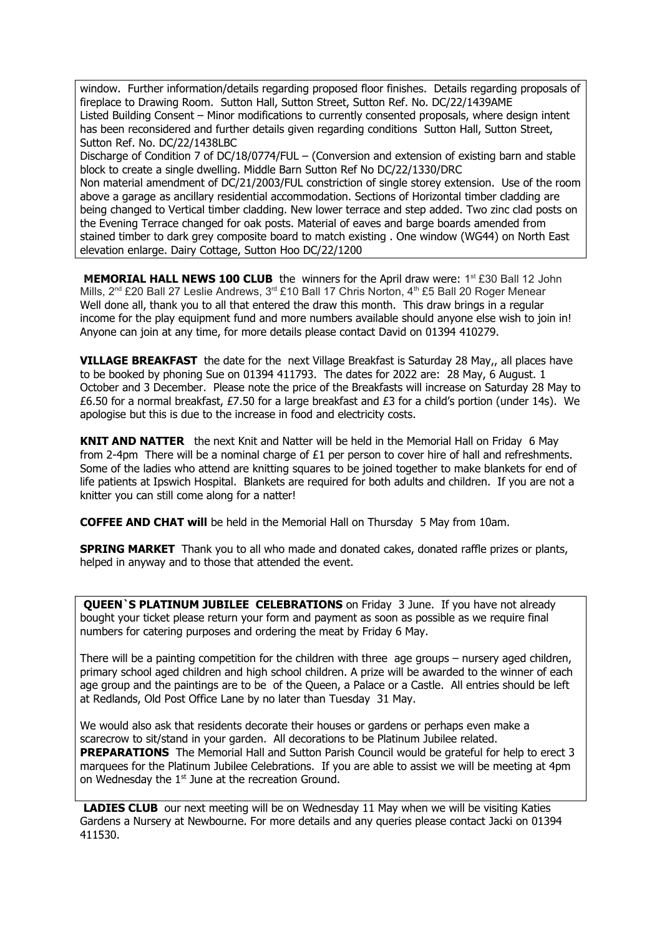window. Further information/details regarding proposed floor finishes. Details regarding proposals of fireplace to Drawing Room. Sutton Hall, Sutton Street, Sutton Ref. No. DC/22/1439AME Listed Building Consent – Minor modifications to currently consented proposals, where design intent has been reconsidered and further details given regarding conditions Sutton Hall, Sutton Street, Sutton Ref. No. DC/22/1438LBC

Discharge of Condition 7 of DC/18/0774/FUL – (Conversion and extension of existing barn and stable block to create a single dwelling. Middle Barn Sutton Ref No DC/22/1330/DRC

Non material amendment of DC/21/2003/FUL constriction of single storey extension. Use of the room above a garage as ancillary residential accommodation. Sections of Horizontal timber cladding are being changed to Vertical timber cladding. New lower terrace and step added. Two zinc clad posts on the Evening Terrace changed for oak posts. Material of eaves and barge boards amended from stained timber to dark grey composite board to match existing . One window (WG44) on North East elevation enlarge. Dairy Cottage, Sutton Hoo DC/22/1200

**MEMORIAL HALL NEWS 100 CLUB** the winners for the April draw were: 1<sup>st</sup> £30 Ball 12 John Mills, 2<sup>nd</sup> £20 Ball 27 Leslie Andrews, 3<sup>rd</sup> £10 Ball 17 Chris Norton, 4<sup>th</sup> £5 Ball 20 Roger Menear Well done all, thank you to all that entered the draw this month. This draw brings in a regular income for the play equipment fund and more numbers available should anyone else wish to join in! Anyone can join at any time, for more details please contact David on 01394 410279.

**VILLAGE BREAKFAST** the date for the next Village Breakfast is Saturday 28 May,, all places have to be booked by phoning Sue on 01394 411793. The dates for 2022 are: 28 May, 6 August. 1 October and 3 December. Please note the price of the Breakfasts will increase on Saturday 28 May to £6.50 for a normal breakfast, £7.50 for a large breakfast and £3 for a child's portion (under 14s). We apologise but this is due to the increase in food and electricity costs.

**KNIT AND NATTER** the next Knit and Natter will be held in the Memorial Hall on Friday 6 May from 2-4pm There will be a nominal charge of  $£1$  per person to cover hire of hall and refreshments. Some of the ladies who attend are knitting squares to be joined together to make blankets for end of life patients at Ipswich Hospital. Blankets are required for both adults and children. If you are not a knitter you can still come along for a natter!

**COFFEE AND CHAT will** be held in the Memorial Hall on Thursday 5 May from 10am.

**SPRING MARKET** Thank you to all who made and donated cakes, donated raffle prizes or plants, helped in anyway and to those that attended the event.

**QUEEN`S PLATINUM JUBILEE CELEBRATIONS** on Friday 3 June. If you have not already bought your ticket please return your form and payment as soon as possible as we require final numbers for catering purposes and ordering the meat by Friday 6 May.

There will be a painting competition for the children with three age groups – nursery aged children, primary school aged children and high school children. A prize will be awarded to the winner of each age group and the paintings are to be of the Queen, a Palace or a Castle. All entries should be left at Redlands, Old Post Office Lane by no later than Tuesday 31 May.

We would also ask that residents decorate their houses or gardens or perhaps even make a scarecrow to sit/stand in your garden. All decorations to be Platinum Jubilee related. **PREPARATIONS** The Memorial Hall and Sutton Parish Council would be grateful for help to erect 3 marquees for the Platinum Jubilee Celebrations. If you are able to assist we will be meeting at 4pm on Wednesday the 1<sup>st</sup> June at the recreation Ground.

**LADIES CLUB** our next meeting will be on Wednesday 11 May when we will be visiting Katies Gardens a Nursery at Newbourne. For more details and any queries please contact Jacki on 01394 411530.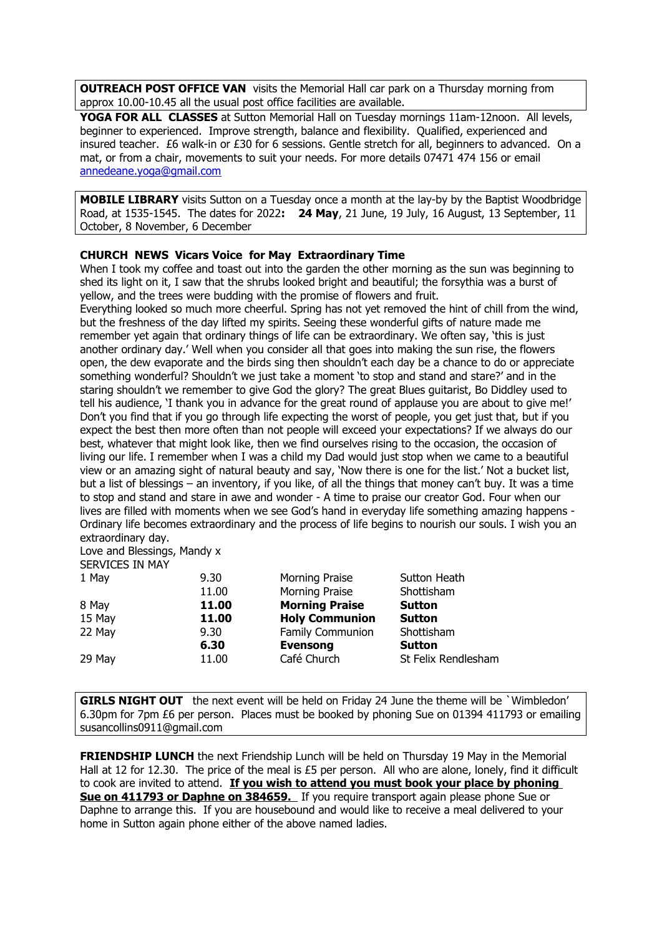**OUTREACH POST OFFICE VAN** visits the Memorial Hall car park on a Thursday morning from approx 10.00-10.45 all the usual post office facilities are available.

**YOGA FOR ALL CLASSES** at Sutton Memorial Hall on Tuesday mornings 11am-12noon. All levels, beginner to experienced. Improve strength, balance and flexibility. Qualified, experienced and insured teacher. £6 walk-in or £30 for 6 sessions. Gentle stretch for all, beginners to advanced. On a mat, or from a chair, movements to suit your needs. For more details 07471 474 156 or email [annedeane.yoga@gmail.com](mailto:annedeane.yoga@gmail.com)

**MOBILE LIBRARY** visits Sutton on a Tuesday once a month at the lay-by by the Baptist Woodbridge Road, at 1535-1545. The dates for 2022**: 24 May**, 21 June, 19 July, 16 August, 13 September, 11 October, 8 November, 6 December

#### **CHURCH NEWS Vicars Voice for May Extraordinary Time**

When I took my coffee and toast out into the garden the other morning as the sun was beginning to shed its light on it, I saw that the shrubs looked bright and beautiful; the forsythia was a burst of yellow, and the trees were budding with the promise of flowers and fruit.

Everything looked so much more cheerful. Spring has not yet removed the hint of chill from the wind, but the freshness of the day lifted my spirits. Seeing these wonderful gifts of nature made me remember yet again that ordinary things of life can be extraordinary. We often say, 'this is just another ordinary day.' Well when you consider all that goes into making the sun rise, the flowers open, the dew evaporate and the birds sing then shouldn't each day be a chance to do or appreciate something wonderful? Shouldn't we just take a moment 'to stop and stand and stare?' and in the staring shouldn't we remember to give God the glory? The great Blues guitarist, Bo Diddley used to tell his audience, 'I thank you in advance for the great round of applause you are about to give me!' Don't you find that if you go through life expecting the worst of people, you get just that, but if you expect the best then more often than not people will exceed your expectations? If we always do our best, whatever that might look like, then we find ourselves rising to the occasion, the occasion of living our life. I remember when I was a child my Dad would just stop when we came to a beautiful view or an amazing sight of natural beauty and say, 'Now there is one for the list.' Not a bucket list, but a list of blessings – an inventory, if you like, of all the things that money can't buy. It was a time to stop and stand and stare in awe and wonder - A time to praise our creator God. Four when our lives are filled with moments when we see God's hand in everyday life something amazing happens - Ordinary life becomes extraordinary and the process of life begins to nourish our souls. I wish you an extraordinary day.

#### Love and Blessings, Mandy x SERVICES IN MAY

| 1 May  | 9.30  | Morning Praise        | Sutton Heath        |
|--------|-------|-----------------------|---------------------|
|        | 11.00 | Morning Praise        | Shottisham          |
| 8 May  | 11.00 | <b>Morning Praise</b> | <b>Sutton</b>       |
| 15 May | 11.00 | <b>Holy Communion</b> | <b>Sutton</b>       |
| 22 May | 9.30  | Family Communion      | Shottisham          |
|        | 6.30  | <b>Evensong</b>       | <b>Sutton</b>       |
| 29 May | 11.00 | Café Church           | St Felix Rendlesham |
|        |       |                       |                     |

**GIRLS NIGHT OUT** the next event will be held on Friday 24 June the theme will be `Wimbledon' 6.30pm for 7pm £6 per person. Places must be booked by phoning Sue on 01394 411793 or emailing susancollins0911@gmail.com

**FRIENDSHIP LUNCH** the next Friendship Lunch will be held on Thursday 19 May in the Memorial Hall at 12 for 12.30. The price of the meal is £5 per person. All who are alone, lonely, find it difficult to cook are invited to attend. **If you wish to attend you must book your place by phoning Sue on 411793 or Daphne on 384659.** If you require transport again please phone Sue or Daphne to arrange this. If you are housebound and would like to receive a meal delivered to your home in Sutton again phone either of the above named ladies.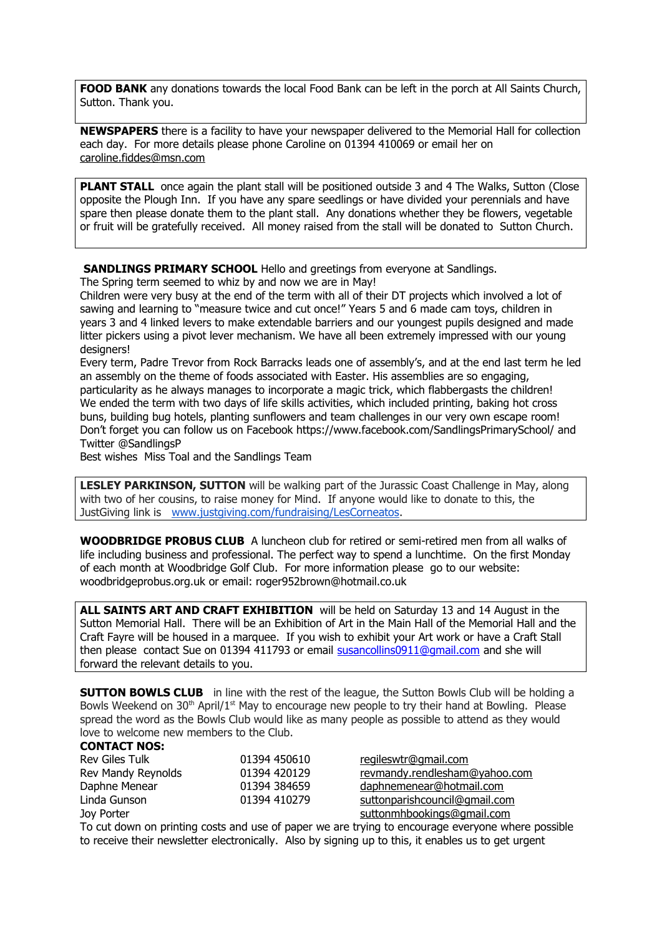**FOOD BANK** any donations towards the local Food Bank can be left in the porch at All Saints Church, Sutton. Thank you.

**NEWSPAPERS** there is a facility to have your newspaper delivered to the Memorial Hall for collection each day. For more details please phone Caroline on 01394 410069 or email her on [caroline.fiddes@msn.com](mailto:caroline.fiddes@msn.com)

**PLANT STALL** once again the plant stall will be positioned outside 3 and 4 The Walks, Sutton (Close opposite the Plough Inn. If you have any spare seedlings or have divided your perennials and have spare then please donate them to the plant stall. Any donations whether they be flowers, vegetable or fruit will be gratefully received. All money raised from the stall will be donated to Sutton Church.

**SANDLINGS PRIMARY SCHOOL** Hello and greetings from everyone at Sandlings.

The Spring term seemed to whiz by and now we are in May!

Children were very busy at the end of the term with all of their DT projects which involved a lot of sawing and learning to "measure twice and cut once!" Years 5 and 6 made cam toys, children in years 3 and 4 linked levers to make extendable barriers and our youngest pupils designed and made litter pickers using a pivot lever mechanism. We have all been extremely impressed with our young designers!

Every term, Padre Trevor from Rock Barracks leads one of assembly's, and at the end last term he led an assembly on the theme of foods associated with Easter. His assemblies are so engaging, particularity as he always manages to incorporate a magic trick, which flabbergasts the children! We ended the term with two days of life skills activities, which included printing, baking hot cross buns, building bug hotels, planting sunflowers and team challenges in our very own escape room! Don't forget you can follow us on Facebook https://www.facebook.com/SandlingsPrimarySchool/ and Twitter @SandlingsP

Best wishes Miss Toal and the Sandlings Team

**LESLEY PARKINSON, SUTTON** will be walking part of the Jurassic Coast Challenge in May, along with two of her cousins, to raise money for Mind. If anyone would like to donate to this, the JustGiving link is [www.justgiving.com/fundraising/LesCorneatos](http://www.justgiving.com/fundraising/LesCorneatos).

**WOODBRIDGE PROBUS CLUB** A luncheon club for retired or semi-retired men from all walks of life including business and professional. The perfect way to spend a lunchtime. On the first Monday of each month at Woodbridge Golf Club. For more information please go to our website: woodbridgeprobus.org.uk or email: roger952brown@hotmail.co.uk

**ALL SAINTS ART AND CRAFT EXHIBITION** will be held on Saturday 13 and 14 August in the Sutton Memorial Hall. There will be an Exhibition of Art in the Main Hall of the Memorial Hall and the Craft Fayre will be housed in a marquee. If you wish to exhibit your Art work or have a Craft Stall then please contact Sue on 01394 411793 or email susancollins0911@qmail.com and she will forward the relevant details to you.

**SUTTON BOWLS CLUB** in line with the rest of the league, the Sutton Bowls Club will be holding a Bowls Weekend on 30<sup>th</sup> April/1<sup>st</sup> May to encourage new people to try their hand at Bowling. Please spread the word as the Bowls Club would like as many people as possible to attend as they would love to welcome new members to the Club.

#### **CONTACT NOS:**

| Rev Giles Tulk     | 01394 450610 | regileswtr@gmail.com          |
|--------------------|--------------|-------------------------------|
| Rev Mandy Reynolds | 01394 420129 | revmandy.rendlesham@yahoo.com |
| Daphne Menear      | 01394 384659 | daphnemenear@hotmail.com      |
| Linda Gunson       | 01394 410279 | suttonparishcouncil@gmail.com |
| Joy Porter         |              | suttonmhbookings@gmail.com    |

To cut down on printing costs and use of paper we are trying to encourage everyone where possible to receive their newsletter electronically. Also by signing up to this, it enables us to get urgent